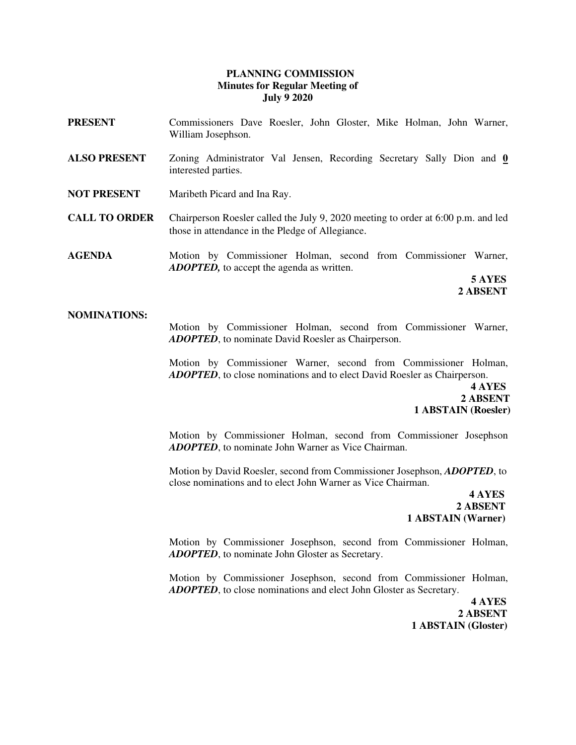### **PLANNING COMMISSION Minutes for Regular Meeting of July 9 2020**

- **PRESENT** Commissioners Dave Roesler, John Gloster, Mike Holman, John Warner, William Josephson.
- **ALSO PRESENT** Zoning Administrator Val Jensen, Recording Secretary Sally Dion and **0**  interested parties.
- **NOT PRESENT** Maribeth Picard and Ina Ray.
- **CALL TO ORDER** Chairperson Roesler called the July 9, 2020 meeting to order at 6:00 p.m. and led those in attendance in the Pledge of Allegiance.

**AGENDA** Motion by Commissioner Holman, second from Commissioner Warner, *ADOPTED,* to accept the agenda as written.

 **5 AYES 2 ABSENT** 

#### **NOMINATIONS:**

Motion by Commissioner Holman, second from Commissioner Warner, *ADOPTED*, to nominate David Roesler as Chairperson.

Motion by Commissioner Warner, second from Commissioner Holman, *ADOPTED*, to close nominations and to elect David Roesler as Chairperson.

**4 AYES**  **2 ABSENT 1 ABSTAIN (Roesler)**

> Motion by Commissioner Holman, second from Commissioner Josephson *ADOPTED*, to nominate John Warner as Vice Chairman.

> Motion by David Roesler, second from Commissioner Josephson, *ADOPTED*, to close nominations and to elect John Warner as Vice Chairman.

> **4 AYES 2 ABSENT 1 ABSTAIN (Warner)**

> Motion by Commissioner Josephson, second from Commissioner Holman, *ADOPTED*, to nominate John Gloster as Secretary.

> Motion by Commissioner Josephson, second from Commissioner Holman, *ADOPTED*, to close nominations and elect John Gloster as Secretary.

 **4 AYES 2 ABSENT 1 ABSTAIN (Gloster)**